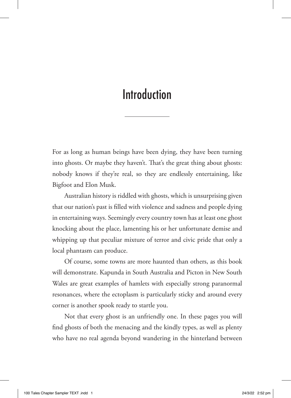# Introduction

For as long as human beings have been dying, they have been turning into ghosts. Or maybe they haven't. That's the great thing about ghosts: nobody knows if they're real, so they are endlessly entertaining, like Bigfoot and Elon Musk.

Australian history is riddled with ghosts, which is unsurprising given that our nation's past is filled with violence and sadness and people dying in entertaining ways. Seemingly every country town has at least one ghost knocking about the place, lamenting his or her unfortunate demise and whipping up that peculiar mixture of terror and civic pride that only a local phantasm can produce.

Of course, some towns are more haunted than others, as this book will demonstrate. Kapunda in South Australia and Picton in New South Wales are great examples of hamlets with especially strong paranormal resonances, where the ectoplasm is particularly sticky and around every corner is another spook ready to startle you.

Not that every ghost is an unfriendly one. In these pages you will find ghosts of both the menacing and the kindly types, as well as plenty who have no real agenda beyond wandering in the hinterland between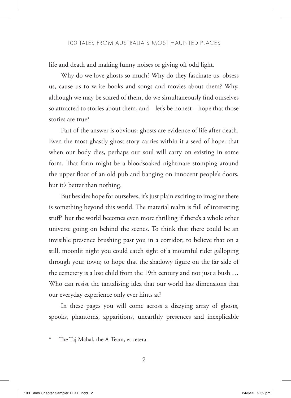life and death and making funny noises or giving off odd light.

Why do we love ghosts so much? Why do they fascinate us, obsess us, cause us to write books and songs and movies about them? Why, although we may be scared of them, do we simultaneously find ourselves so attracted to stories about them, and – let's be honest – hope that those stories are true?

Part of the answer is obvious: ghosts are evidence of life after death. Even the most ghastly ghost story carries within it a seed of hope: that when our body dies, perhaps our soul will carry on existing in some form. That form might be a bloodsoaked nightmare stomping around the upper floor of an old pub and banging on innocent people's doors, but it's better than nothing.

But besides hope for ourselves, it's just plain exciting to imagine there is something beyond this world. The material realm is full of interesting stuff\* but the world becomes even more thrilling if there's a whole other universe going on behind the scenes. To think that there could be an invisible presence brushing past you in a corridor; to believe that on a still, moonlit night you could catch sight of a mournful rider galloping through your town; to hope that the shadowy figure on the far side of the cemetery is a lost child from the 19th century and not just a bush … Who can resist the tantalising idea that our world has dimensions that our everyday experience only ever hints at?

In these pages you will come across a dizzying array of ghosts, spooks, phantoms, apparitions, unearthly presences and inexplicable

The Taj Mahal, the A-Team, et cetera.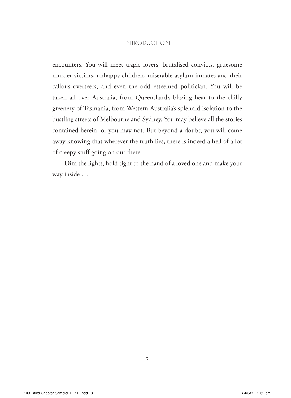### INTRODUCTION

encounters. You will meet tragic lovers, brutalised convicts, gruesome murder victims, unhappy children, miserable asylum inmates and their callous overseers, and even the odd esteemed politician. You will be taken all over Australia, from Queensland's blazing heat to the chilly greenery of Tasmania, from Western Australia's splendid isolation to the bustling streets of Melbourne and Sydney. You may believe all the stories contained herein, or you may not. But beyond a doubt, you will come away knowing that wherever the truth lies, there is indeed a hell of a lot of creepy stuff going on out there.

Dim the lights, hold tight to the hand of a loved one and make your way inside …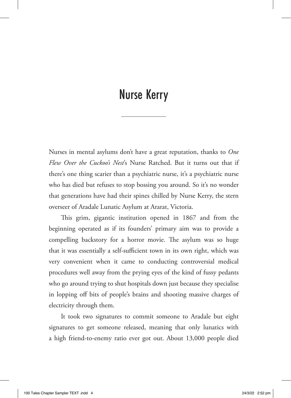## Nurse Kerry

Nurses in mental asylums don't have a great reputation, thanks to *One Flew Over the Cuckoo's Nest*'s Nurse Ratched. But it turns out that if there's one thing scarier than a psychiatric nurse, it's a psychiatric nurse who has died but refuses to stop bossing you around. So it's no wonder that generations have had their spines chilled by Nurse Kerry, the stern overseer of Aradale Lunatic Asylum at Ararat, Victoria.

This grim, gigantic institution opened in 1867 and from the beginning operated as if its founders' primary aim was to provide a compelling backstory for a horror movie. The asylum was so huge that it was essentially a self-sufficient town in its own right, which was very convenient when it came to conducting controversial medical procedures well away from the prying eyes of the kind of fussy pedants who go around trying to shut hospitals down just because they specialise in lopping off bits of people's brains and shooting massive charges of electricity through them.

It took two signatures to commit someone to Aradale but eight signatures to get someone released, meaning that only lunatics with a high friend-to-enemy ratio ever got out. About 13,000 people died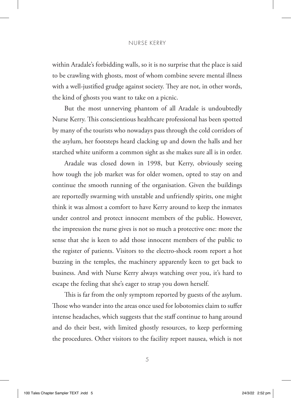#### NURSE KERRY

within Aradale's forbidding walls, so it is no surprise that the place is said to be crawling with ghosts, most of whom combine severe mental illness with a well-justified grudge against society. They are not, in other words, the kind of ghosts you want to take on a picnic.

But the most unnerving phantom of all Aradale is undoubtedly Nurse Kerry. This conscientious healthcare professional has been spotted by many of the tourists who nowadays pass through the cold corridors of the asylum, her footsteps heard clacking up and down the halls and her starched white uniform a common sight as she makes sure all is in order.

Aradale was closed down in 1998, but Kerry, obviously seeing how tough the job market was for older women, opted to stay on and continue the smooth running of the organisation. Given the buildings are reportedly swarming with unstable and unfriendly spirits, one might think it was almost a comfort to have Kerry around to keep the inmates under control and protect innocent members of the public. However, the impression the nurse gives is not so much a protective one: more the sense that she is keen to add those innocent members of the public to the register of patients. Visitors to the electro-shock room report a hot buzzing in the temples, the machinery apparently keen to get back to business. And with Nurse Kerry always watching over you, it's hard to escape the feeling that she's eager to strap you down herself.

This is far from the only symptom reported by guests of the asylum. Those who wander into the areas once used for lobotomies claim to suffer intense headaches, which suggests that the staff continue to hang around and do their best, with limited ghostly resources, to keep performing the procedures. Other visitors to the facility report nausea, which is not

5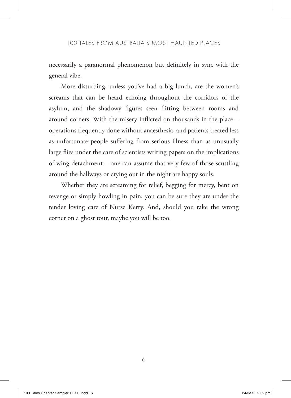necessarily a paranormal phenomenon but definitely in sync with the general vibe.

More disturbing, unless you've had a big lunch, are the women's screams that can be heard echoing throughout the corridors of the asylum, and the shadowy figures seen flitting between rooms and around corners. With the misery inflicted on thousands in the place – operations frequently done without anaesthesia, and patients treated less as unfortunate people suffering from serious illness than as unusually large flies under the care of scientists writing papers on the implications of wing detachment – one can assume that very few of those scuttling around the hallways or crying out in the night are happy souls.

Whether they are screaming for relief, begging for mercy, bent on revenge or simply howling in pain, you can be sure they are under the tender loving care of Nurse Kerry. And, should you take the wrong corner on a ghost tour, maybe you will be too.

6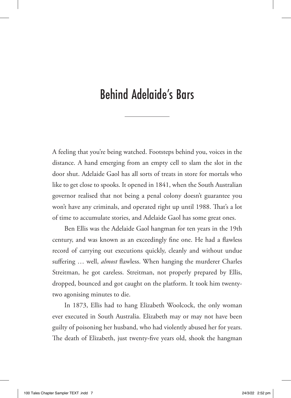# Behind Adelaide's Bars

A feeling that you're being watched. Footsteps behind you, voices in the distance. A hand emerging from an empty cell to slam the slot in the door shut. Adelaide Gaol has all sorts of treats in store for mortals who like to get close to spooks. It opened in 1841, when the South Australian governor realised that not being a penal colony doesn't guarantee you won't have any criminals, and operated right up until 1988. That's a lot of time to accumulate stories, and Adelaide Gaol has some great ones.

Ben Ellis was the Adelaide Gaol hangman for ten years in the 19th century, and was known as an exceedingly fine one. He had a flawless record of carrying out executions quickly, cleanly and without undue suffering … well, *almost* flawless. When hanging the murderer Charles Streitman, he got careless. Streitman, not properly prepared by Ellis, dropped, bounced and got caught on the platform. It took him twentytwo agonising minutes to die.

In 1873, Ellis had to hang Elizabeth Woolcock, the only woman ever executed in South Australia. Elizabeth may or may not have been guilty of poisoning her husband, who had violently abused her for years. The death of Elizabeth, just twenty-five years old, shook the hangman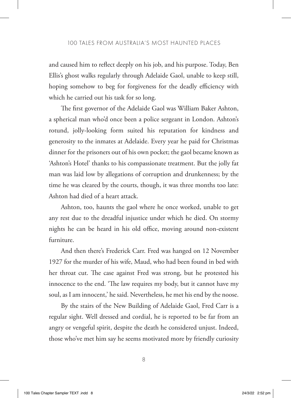and caused him to reflect deeply on his job, and his purpose. Today, Ben Ellis's ghost walks regularly through Adelaide Gaol, unable to keep still, hoping somehow to beg for forgiveness for the deadly efficiency with which he carried out his task for so long.

The first governor of the Adelaide Gaol was William Baker Ashton, a spherical man who'd once been a police sergeant in London. Ashton's rotund, jolly-looking form suited his reputation for kindness and generosity to the inmates at Adelaide. Every year he paid for Christmas dinner for the prisoners out of his own pocket; the gaol became known as 'Ashton's Hotel' thanks to his compassionate treatment. But the jolly fat man was laid low by allegations of corruption and drunkenness; by the time he was cleared by the courts, though, it was three months too late: Ashton had died of a heart attack.

Ashton, too, haunts the gaol where he once worked, unable to get any rest due to the dreadful injustice under which he died. On stormy nights he can be heard in his old office, moving around non-existent furniture.

And then there's Frederick Carr. Fred was hanged on 12 November 1927 for the murder of his wife, Maud, who had been found in bed with her throat cut. The case against Fred was strong, but he protested his innocence to the end. 'The law requires my body, but it cannot have my soul, as I am innocent,' he said. Nevertheless, he met his end by the noose.

By the stairs of the New Building of Adelaide Gaol, Fred Carr is a regular sight. Well dressed and cordial, he is reported to be far from an angry or vengeful spirit, despite the death he considered unjust. Indeed, those who've met him say he seems motivated more by friendly curiosity